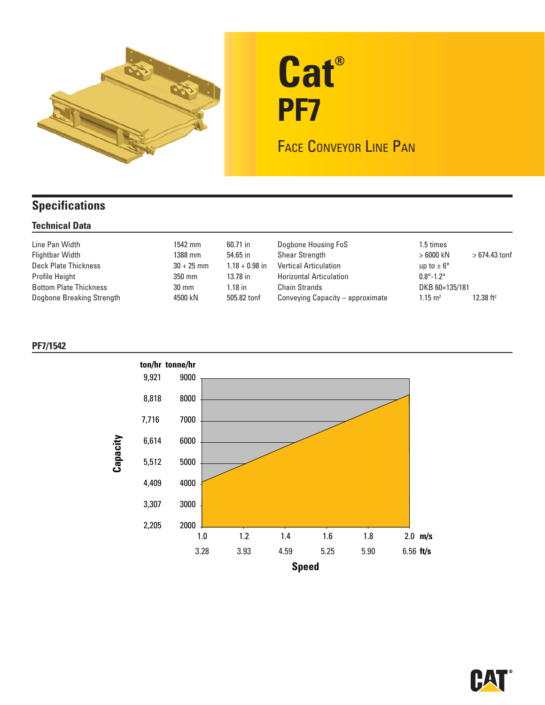

# **Cat® PF7**

FACE CONVEYOR LINE PAN

## **Specifications**

#### **Technical Data**

| Line Pan Width<br><b>Flightbar Width</b><br>Deck Plate Thickness | 1542 mm<br>1388 mm<br>$30 + 25$ mm | 60.71 in<br>54.65 in<br>$1.18 + 0.98$ in | Dogbone Housing FoS<br><b>Shear Strength</b><br><b>Vertical Articulation</b> | 1.5 times<br>$>6000$ kN<br>up to $\pm 6^{\circ}$ | $>674.43$ tonf |
|------------------------------------------------------------------|------------------------------------|------------------------------------------|------------------------------------------------------------------------------|--------------------------------------------------|----------------|
| Profile Height                                                   | 350 mm                             | 13.78 in                                 | <b>Horizontal Articulation</b>                                               | $0.8^{\circ} - 1.2^{\circ}$                      |                |
| <b>Bottom Plate Thickness</b>                                    | $30 \text{ mm}$                    | $.18$ in                                 | <b>Chain Strands</b>                                                         | DKB 60×135/181                                   |                |
| Dogbone Breaking Strength                                        | 4500 kN                            | 505.82 tonf                              | Conveying Capacity – approximate                                             | $1.15 \text{ m}^2$                               | 12.38 $ft^2$   |

### **PF7/1542**